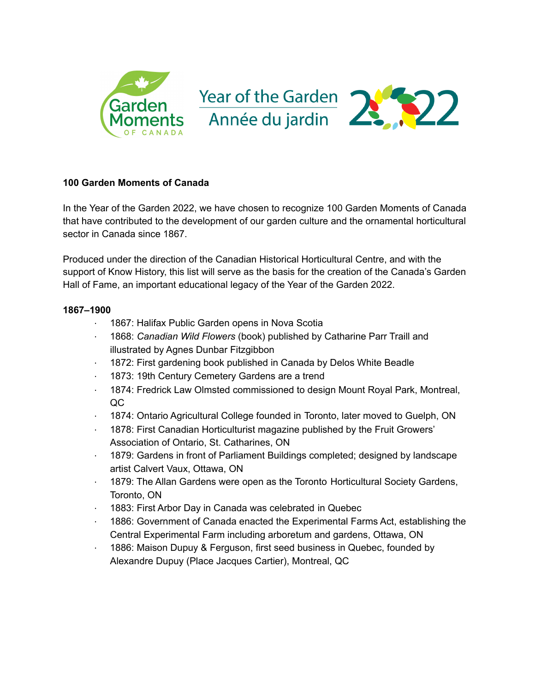

# **100 Garden Moments of Canada**

In the Year of the Garden 2022, we have chosen to recognize 100 Garden Moments of Canada that have contributed to the development of our garden culture and the ornamental horticultural sector in Canada since 1867.

Produced under the direction of the Canadian Historical Horticultural Centre, and with the support of Know History, this list will serve as the basis for the creation of the Canada's Garden Hall of Fame, an important educational legacy of the Year of the Garden 2022.

- 1867: Halifax Public Garden opens in Nova Scotia
- · 1868: *Canadian Wild Flowers* (book) published by Catharine Parr Traill and illustrated by Agnes Dunbar Fitzgibbon
- 1872: First gardening book published in Canada by Delos White Beadle
- 1873: 19th Century Cemetery Gardens are a trend
- · 1874: Fredrick Law Olmsted commissioned to design Mount Royal Park, Montreal, QC
- · 1874: Ontario Agricultural College founded in Toronto, later moved to Guelph, ON
- · 1878: First Canadian Horticulturist magazine published by the Fruit Growers' Association of Ontario, St. Catharines, ON
- · 1879: Gardens in front of Parliament Buildings completed; designed by landscape artist Calvert Vaux, Ottawa, ON
- · 1879: The Allan Gardens were open as the Toronto Horticultural Society Gardens, Toronto, ON
- 1883: First Arbor Day in Canada was celebrated in Quebec
- · 1886: Government of Canada enacted the Experimental Farms Act, establishing the Central Experimental Farm including arboretum and gardens, Ottawa, ON
- 1886: Maison Dupuy & Ferguson, first seed business in Quebec, founded by Alexandre Dupuy (Place Jacques Cartier), Montreal, QC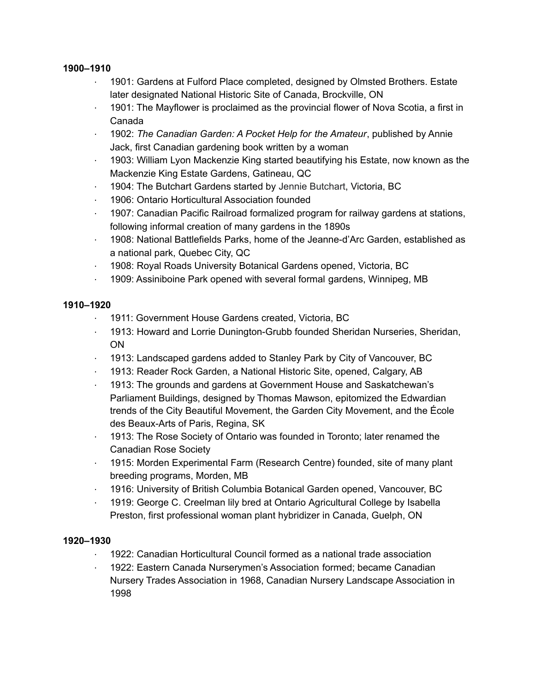- 1901: Gardens at Fulford Place completed, designed by Olmsted Brothers. Estate later designated National Historic Site of Canada, Brockville, ON
- · 1901: The Mayflower is proclaimed as the provincial flower of Nova Scotia, a first in Canada
- · 1902: *The Canadian Garden: A Pocket Help for the Amateur*, published by Annie Jack, first Canadian gardening book written by a woman
- · 1903: William Lyon Mackenzie King started beautifying his Estate, now known as the Mackenzie King Estate Gardens, Gatineau, QC
- · 1904: The Butchart Gardens started by Jennie Butchart, Victoria, BC
- · 1906: Ontario Horticultural Association founded
- · 1907: Canadian Pacific Railroad formalized program for railway gardens at stations, following informal creation of many gardens in the 1890s
- · 1908: National Battlefields Parks, home of the Jeanne-d'Arc Garden, established as a national park, Quebec City, QC
- · 1908: Royal Roads University Botanical Gardens opened, Victoria, BC
- · 1909: Assiniboine Park opened with several formal gardens, Winnipeg, MB

## **1910–1920**

- · 1911: Government House Gardens created, Victoria, BC
- · 1913: Howard and Lorrie Dunington-Grubb founded Sheridan Nurseries, Sheridan, ON
- · 1913: Landscaped gardens added to Stanley Park by City of Vancouver, BC
- · 1913: Reader Rock Garden, a National Historic Site, opened, Calgary, AB
- · 1913: The grounds and gardens at Government House and Saskatchewan's Parliament Buildings, designed by Thomas Mawson, epitomized the Edwardian trends of the City Beautiful Movement, the Garden City Movement, and the École des Beaux-Arts of Paris, Regina, SK
- · 1913: The Rose Society of Ontario was founded in Toronto; later renamed the Canadian Rose Society
- · 1915: Morden Experimental Farm (Research Centre) founded, site of many plant breeding programs, Morden, MB
- · 1916: University of British Columbia Botanical Garden opened, Vancouver, BC
- · 1919: George C. Creelman lily bred at Ontario Agricultural College by Isabella Preston, first professional woman plant hybridizer in Canada, Guelph, ON

- · 1922: Canadian Horticultural Council formed as a national trade association
- · 1922: Eastern Canada Nurserymen's Association formed; became Canadian Nursery Trades Association in 1968, Canadian Nursery Landscape Association in 1998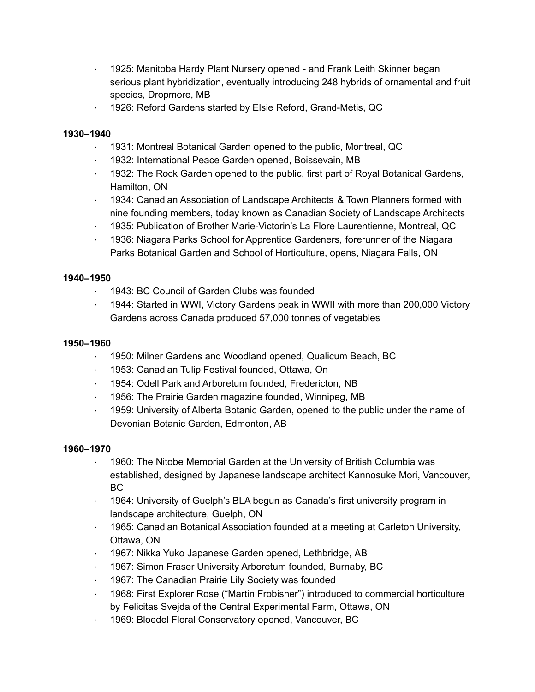- · 1925: Manitoba Hardy Plant Nursery opened and Frank Leith Skinner began serious plant hybridization, eventually introducing 248 hybrids of ornamental and fruit species, Dropmore, MB
- · 1926: Reford Gardens started by Elsie Reford, Grand-Métis, QC

- · 1931: Montreal Botanical Garden opened to the public, Montreal, QC
- · 1932: International Peace Garden opened, Boissevain, MB
- · 1932: The Rock Garden opened to the public, first part of Royal Botanical Gardens, Hamilton, ON
- · 1934: Canadian Association of Landscape Architects & Town Planners formed with nine founding members, today known as Canadian Society of Landscape Architects
- · 1935: Publication of Brother Marie-Victorin's La Flore Laurentienne, Montreal, QC
- · 1936: Niagara Parks School for Apprentice Gardeners, forerunner of the Niagara Parks Botanical Garden and School of Horticulture, opens, Niagara Falls, ON

## **1940–1950**

- · 1943: BC Council of Garden Clubs was founded
- · 1944: Started in WWI, Victory Gardens peak in WWII with more than 200,000 Victory Gardens across Canada produced 57,000 tonnes of vegetables

#### **1950–1960**

- · 1950: Milner Gardens and Woodland opened, Qualicum Beach, BC
- · 1953: Canadian Tulip Festival founded, Ottawa, On
- · 1954: Odell Park and Arboretum founded, Fredericton, NB
- · 1956: The Prairie Garden magazine founded, Winnipeg, MB
- · 1959: University of Alberta Botanic Garden, opened to the public under the name of Devonian Botanic Garden, Edmonton, AB

- 1960: The Nitobe Memorial Garden at the University of British Columbia was established, designed by Japanese landscape architect Kannosuke Mori, Vancouver, BC
- · 1964: University of Guelph's BLA begun as Canada's first university program in landscape architecture, Guelph, ON
- · 1965: Canadian Botanical Association founded at a meeting at Carleton University, Ottawa, ON
- · 1967: Nikka Yuko Japanese Garden opened, Lethbridge, AB
- · 1967: Simon Fraser University Arboretum founded, Burnaby, BC
- · 1967: The Canadian Prairie Lily Society was founded
- · 1968: First Explorer Rose ("Martin Frobisher") introduced to commercial horticulture by Felicitas Svejda of the Central Experimental Farm, Ottawa, ON
- · 1969: Bloedel Floral Conservatory opened, Vancouver, BC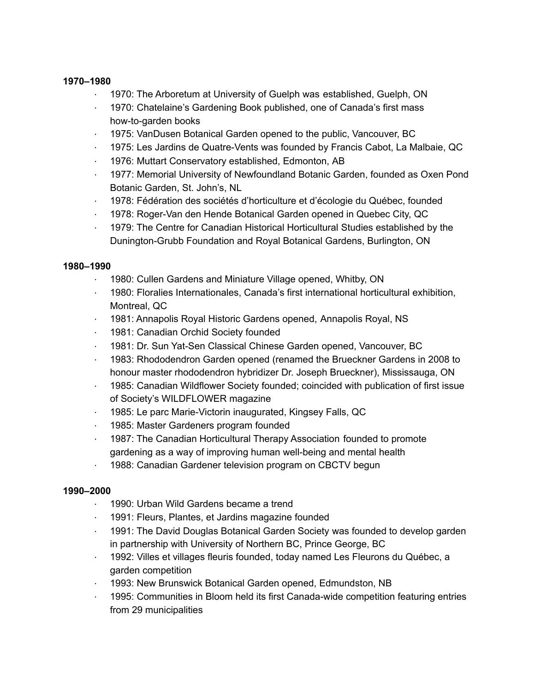- · 1970: The Arboretum at University of Guelph was established, Guelph, ON
- · 1970: Chatelaine's Gardening Book published, one of Canada's first mass how-to-garden books
- · 1975: VanDusen Botanical Garden opened to the public, Vancouver, BC
- · 1975: Les Jardins de Quatre-Vents was founded by Francis Cabot, La Malbaie, QC
- · 1976: Muttart Conservatory established, Edmonton, AB
- · 1977: Memorial University of Newfoundland Botanic Garden, founded as Oxen Pond Botanic Garden, St. John's, NL
- · 1978: Fédération des sociétés d'horticulture et d'écologie du Québec, founded
- · 1978: Roger-Van den Hende Botanical Garden opened in Quebec City, QC
- · 1979: The Centre for Canadian Historical Horticultural Studies established by the Dunington-Grubb Foundation and Royal Botanical Gardens, Burlington, ON

## **1980–1990**

- · 1980: Cullen Gardens and Miniature Village opened, Whitby, ON
- · 1980: Floralies Internationales, Canada's first international horticultural exhibition, Montreal, QC
- · 1981: Annapolis Royal Historic Gardens opened, Annapolis Royal, NS
- · 1981: Canadian Orchid Society founded
- · 1981: Dr. Sun Yat-Sen Classical Chinese Garden opened, Vancouver, BC
- · 1983: Rhododendron Garden opened (renamed the Brueckner Gardens in 2008 to honour master rhododendron hybridizer Dr. Joseph Brueckner), Mississauga, ON
- · 1985: Canadian Wildflower Society founded; coincided with publication of first issue of Society's WILDFLOWER magazine
- · 1985: Le parc Marie-Victorin inaugurated, Kingsey Falls, QC
- · 1985: Master Gardeners program founded
- · 1987: The Canadian Horticultural Therapy Association founded to promote gardening as a way of improving human well-being and mental health
- · 1988: Canadian Gardener television program on CBCTV begun

- · 1990: Urban Wild Gardens became a trend
- · 1991: Fleurs, Plantes, et Jardins magazine founded
- · 1991: The David Douglas Botanical Garden Society was founded to develop garden in partnership with University of Northern BC, Prince George, BC
- · 1992: Villes et villages fleuris founded, today named Les Fleurons du Québec, a garden competition
- · 1993: New Brunswick Botanical Garden opened, Edmundston, NB
- · 1995: Communities in Bloom held its first Canada-wide competition featuring entries from 29 municipalities